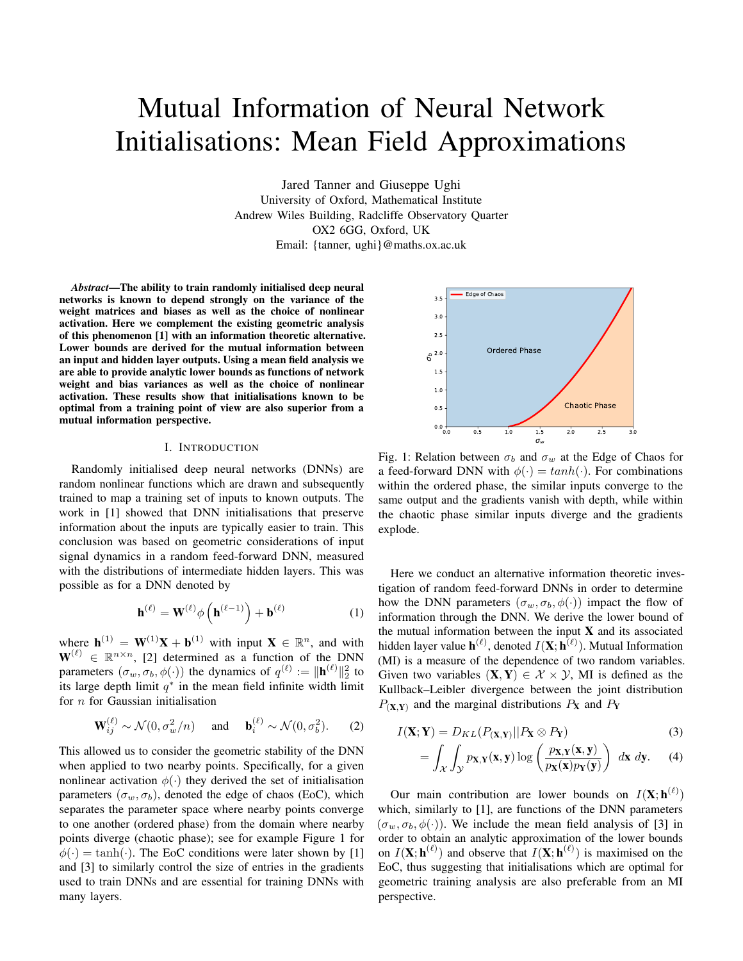# Mutual Information of Neural Network Initialisations: Mean Field Approximations

Jared Tanner and Giuseppe Ughi University of Oxford, Mathematical Institute Andrew Wiles Building, Radcliffe Observatory Quarter OX2 6GG, Oxford, UK Email: {tanner, ughi}@maths.ox.ac.uk

*Abstract*—The ability to train randomly initialised deep neural networks is known to depend strongly on the variance of the weight matrices and biases as well as the choice of nonlinear activation. Here we complement the existing geometric analysis of this phenomenon [1] with an information theoretic alternative. Lower bounds are derived for the mutual information between an input and hidden layer outputs. Using a mean field analysis we are able to provide analytic lower bounds as functions of network weight and bias variances as well as the choice of nonlinear activation. These results show that initialisations known to be optimal from a training point of view are also superior from a mutual information perspective.

## I. INTRODUCTION

Randomly initialised deep neural networks (DNNs) are random nonlinear functions which are drawn and subsequently trained to map a training set of inputs to known outputs. The work in [1] showed that DNN initialisations that preserve information about the inputs are typically easier to train. This conclusion was based on geometric considerations of input signal dynamics in a random feed-forward DNN, measured with the distributions of intermediate hidden layers. This was possible as for a DNN denoted by

$$
\mathbf{h}^{(\ell)} = \mathbf{W}^{(\ell)} \phi \left( \mathbf{h}^{(\ell-1)} \right) + \mathbf{b}^{(\ell)} \tag{1}
$$

where  $\mathbf{h}^{(1)} = \mathbf{W}^{(1)}\mathbf{X} + \mathbf{b}^{(1)}$  with input  $\mathbf{X} \in \mathbb{R}^n$ , and with  $\mathbf{W}^{(\ell)} \in \mathbb{R}^{n \times n}$ , [2] determined as a function of the DNN parameters  $(\sigma_w, \sigma_b, \phi(\cdot))$  the dynamics of  $q^{(\ell)} := ||\mathbf{h}^{(\ell)}||_2^2$  to its large depth limit  $q^*$  in the mean field infinite width limit for  $n$  for Gaussian initialisation

$$
\mathbf{W}_{ij}^{(\ell)} \sim \mathcal{N}(0, \sigma_w^2/n) \quad \text{and} \quad \mathbf{b}_i^{(\ell)} \sim \mathcal{N}(0, \sigma_b^2). \tag{2}
$$

This allowed us to consider the geometric stability of the DNN when applied to two nearby points. Specifically, for a given nonlinear activation  $\phi(\cdot)$  they derived the set of initialisation parameters  $(\sigma_w, \sigma_b)$ , denoted the edge of chaos (EoC), which separates the parameter space where nearby points converge to one another (ordered phase) from the domain where nearby points diverge (chaotic phase); see for example Figure 1 for  $\phi(\cdot) = \tanh(\cdot)$ . The EoC conditions were later shown by [1] and [3] to similarly control the size of entries in the gradients used to train DNNs and are essential for training DNNs with many layers.



Fig. 1: Relation between  $\sigma_b$  and  $\sigma_w$  at the Edge of Chaos for a feed-forward DNN with  $\phi(\cdot) = \tanh(\cdot)$ . For combinations within the ordered phase, the similar inputs converge to the same output and the gradients vanish with depth, while within the chaotic phase similar inputs diverge and the gradients explode.

Here we conduct an alternative information theoretic investigation of random feed-forward DNNs in order to determine how the DNN parameters  $(\sigma_w, \sigma_b, \phi(\cdot))$  impact the flow of information through the DNN. We derive the lower bound of the mutual information between the input  $X$  and its associated hidden layer value  $\mathbf{h}^{(\ell)}$ , denoted  $I(\mathbf{X}; \mathbf{h}^{(\ell)})$ . Mutual Information (MI) is a measure of the dependence of two random variables. Given two variables  $(X, Y) \in \mathcal{X} \times \mathcal{Y}$ , MI is defined as the Kullback–Leibler divergence between the joint distribution  $P_{(\mathbf{X},\mathbf{Y})}$  and the marginal distributions  $P_{\mathbf{X}}$  and  $P_{\mathbf{Y}}$ 

$$
I(\mathbf{X}; \mathbf{Y}) = D_{KL}(P(\mathbf{X}, \mathbf{Y}) || P_{\mathbf{X}} \otimes P_{\mathbf{Y}})
$$
\n(3)

$$
= \int_{\mathcal{X}} \int_{\mathcal{Y}} p_{\mathbf{X},\mathbf{Y}}(\mathbf{x}, \mathbf{y}) \log \left( \frac{p_{\mathbf{X},\mathbf{Y}}(\mathbf{x}, \mathbf{y})}{p_{\mathbf{X}}(\mathbf{x}) p_{\mathbf{Y}}(\mathbf{y})} \right) d\mathbf{x} d\mathbf{y}.
$$
 (4)

Our main contribution are lower bounds on  $I(\mathbf{X}; \mathbf{h}^{(\ell)})$ which, similarly to [1], are functions of the DNN parameters  $(\sigma_w, \sigma_b, \phi(\cdot))$ . We include the mean field analysis of [3] in order to obtain an analytic approximation of the lower bounds on  $I(X; h^{(\ell)})$  and observe that  $I(X; h^{(\ell)})$  is maximised on the EoC, thus suggesting that initialisations which are optimal for geometric training analysis are also preferable from an MI perspective.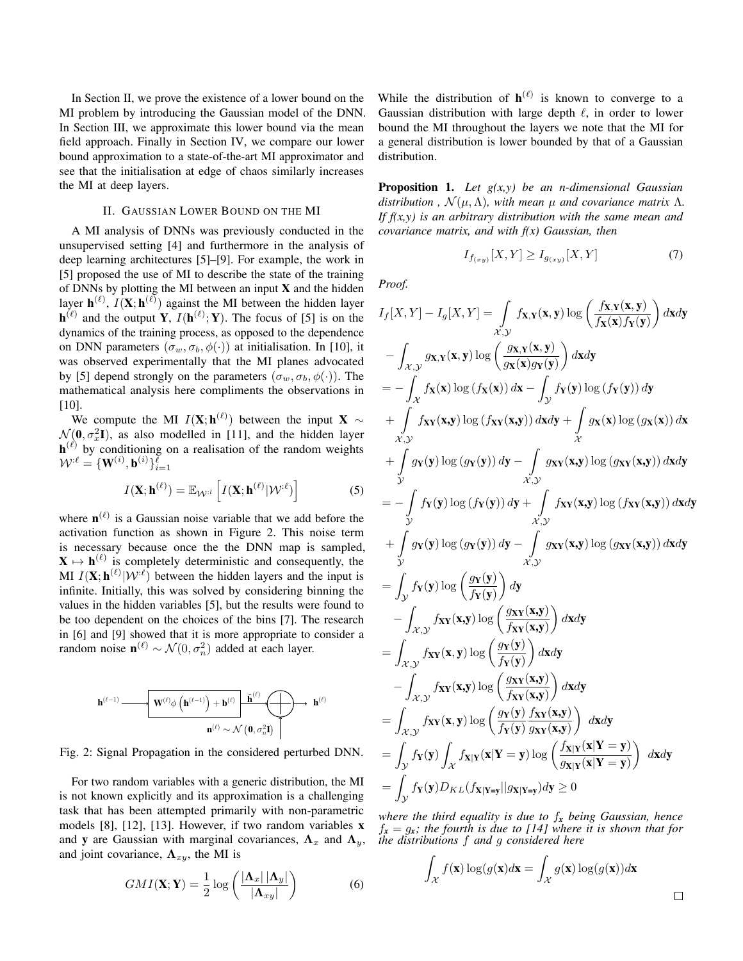In Section II, we prove the existence of a lower bound on the MI problem by introducing the Gaussian model of the DNN. In Section III, we approximate this lower bound via the mean field approach. Finally in Section IV, we compare our lower bound approximation to a state-of-the-art MI approximator and see that the initialisation at edge of chaos similarly increases the MI at deep layers.

## II. GAUSSIAN LOWER BOUND ON THE MI

A MI analysis of DNNs was previously conducted in the unsupervised setting [4] and furthermore in the analysis of deep learning architectures [5]–[9]. For example, the work in [5] proposed the use of MI to describe the state of the training of DNNs by plotting the MI between an input X and the hidden layer  $\mathbf{h}^{(\ell)}$ ,  $I(\mathbf{X}; \mathbf{h}^{(\ell)})$  against the MI between the hidden layer  $\mathbf{h}^{(\ell)}$  and the output Y,  $I(\mathbf{h}^{(\ell)}; Y)$ . The focus of [5] is on the dynamics of the training process, as opposed to the dependence on DNN parameters  $(\sigma_w, \sigma_b, \phi(\cdot))$  at initialisation. In [10], it was observed experimentally that the MI planes advocated by [5] depend strongly on the parameters  $(\sigma_w, \sigma_b, \phi(\cdot))$ . The mathematical analysis here compliments the observations in [10].

We compute the MI  $I(X; h^{(\ell)})$  between the input X  $\sim$  $\mathcal{N}(\mathbf{0}, \sigma_x^2 \mathbf{I})$ , as also modelled in [11], and the hidden layer  $\mathbf{h}^{(\ell)}$  by conditioning on a realisation of the random weights  $\mathcal{W}^{:\ell} = \{\textbf{W}^{(i)}, \textbf{b}^{(i)}\}_{i=1}^{\bar{\ell}}$ 

$$
I(\mathbf{X}; \mathbf{h}^{(\ell)}) = \mathbb{E}_{\mathcal{W}^{:\ell}} \left[ I(\mathbf{X}; \mathbf{h}^{(\ell)} | \mathcal{W}^{:\ell}) \right] \tag{5}
$$

where  $\mathbf{n}^{(\ell)}$  is a Gaussian noise variable that we add before the activation function as shown in Figure 2. This noise term is necessary because once the the DNN map is sampled,  $X \mapsto h^{(\ell)}$  is completely deterministic and consequently, the MI  $I(\mathbf{X}; \mathbf{h}^{(\ell)} | \mathcal{W}^{:\ell})$  between the hidden layers and the input is infinite. Initially, this was solved by considering binning the values in the hidden variables [5], but the results were found to be too dependent on the choices of the bins [7]. The research in [6] and [9] showed that it is more appropriate to consider a random noise  $\mathbf{n}^{(\ell)} \sim \mathcal{N}(0, \sigma_n^2)$  added at each layer.



Fig. 2: Signal Propagation in the considered perturbed DNN.

For two random variables with a generic distribution, the MI is not known explicitly and its approximation is a challenging task that has been attempted primarily with non-parametric models [8], [12], [13]. However, if two random variables x and y are Gaussian with marginal covariances,  $\Lambda_x$  and  $\Lambda_y$ , and joint covariance,  $\Lambda_{xy}$ , the MI is

$$
GMI(\mathbf{X}; \mathbf{Y}) = \frac{1}{2} \log \left( \frac{|\mathbf{\Lambda}_x| \, |\mathbf{\Lambda}_y|}{|\mathbf{\Lambda}_{xy}|} \right) \tag{6}
$$

While the distribution of  $h^{(\ell)}$  is known to converge to a Gaussian distribution with large depth  $\ell$ , in order to lower bound the MI throughout the layers we note that the MI for a general distribution is lower bounded by that of a Gaussian distribution.

Proposition 1. *Let g(x,y) be an n-dimensional Gaussian distribution*,  $\mathcal{N}(\mu, \Lambda)$ , with mean  $\mu$  and covariance matrix  $\Lambda$ . *If f(x,y) is an arbitrary distribution with the same mean and covariance matrix, and with f(x) Gaussian, then*

$$
I_{f_{(xy)}}[X,Y] \ge I_{g_{(xy)}}[X,Y] \tag{7}
$$

*Proof.*

$$
I_f[X, Y] - I_g[X, Y] = \int_{\mathcal{X}, \mathcal{Y}} f_{\mathbf{X}, \mathbf{Y}}(\mathbf{x}, \mathbf{y}) \log \left( \frac{f_{\mathbf{X}, \mathbf{Y}}(\mathbf{x}, \mathbf{y})}{f_{\mathbf{X}}(\mathbf{x}) f_{\mathbf{Y}}(\mathbf{y})} \right) d\mathbf{x} d\mathbf{y}
$$
  
\n
$$
- \int_{\mathcal{X}, \mathcal{Y}} g_{\mathbf{X}, \mathbf{Y}}(\mathbf{x}, \mathbf{y}) \log \left( \frac{g_{\mathbf{X}, \mathbf{Y}}(\mathbf{x}, \mathbf{y})}{g_{\mathbf{X}}(\mathbf{x}) g_{\mathbf{Y}}(\mathbf{y})} \right) d\mathbf{x} d\mathbf{y}
$$
  
\n
$$
= - \int_{\mathcal{X}} f_{\mathbf{X}}(\mathbf{x}) \log (f_{\mathbf{X}}(\mathbf{x})) d\mathbf{x} - \int_{\mathcal{Y}} f_{\mathbf{Y}}(\mathbf{y}) \log (f_{\mathbf{Y}}(\mathbf{y})) d\mathbf{y}
$$
  
\n
$$
+ \int_{\mathcal{X}, \mathcal{Y}} f_{\mathbf{X}}(\mathbf{x}, \mathbf{y}) \log (g_{\mathbf{Y}}(\mathbf{x}, \mathbf{y})) d\mathbf{x} d\mathbf{y} + \int_{\mathcal{X}, \mathcal{Y}} g_{\mathbf{X}}(\mathbf{x}, \mathbf{y}) \log (g_{\mathbf{X}}(\mathbf{x}, \mathbf{y})) d\mathbf{x} d\mathbf{y}
$$
  
\n
$$
+ \int_{\mathcal{Y}} g_{\mathbf{Y}}(\mathbf{y}) \log (f_{\mathbf{Y}}(\mathbf{y})) d\mathbf{y} - \int_{\mathcal{X}, \mathcal{Y}} g_{\mathbf{X}}(\mathbf{x}, \mathbf{y}) \log (f_{\mathbf{X}}(\mathbf{x}, \mathbf{y})) d\mathbf{x} d\mathbf{y}
$$
  
\n
$$
+ \int_{\mathcal{Y}} g_{\mathbf{Y}}(\mathbf{y}) \log (g_{\mathbf{Y}}(\mathbf{y})) d\mathbf{y} - \int_{\mathcal{X}, \mathcal{Y}} g_{\mathbf{X}}(\mathbf{x}, \mathbf{y}) \log (g_{\mathbf{X}\mathbf{Y}}(\math
$$

*where the third equality is due to* f*<sup>x</sup> being Gaussian, hence* f*<sup>x</sup>* = g*x; the fourth is due to [14] where it is shown that for the distributions* f *and* g *considered here*

$$
\int_{\mathcal{X}} f(\mathbf{x}) \log(g(\mathbf{x}) d\mathbf{x}) = \int_{\mathcal{X}} g(\mathbf{x}) \log(g(\mathbf{x})) d\mathbf{x}
$$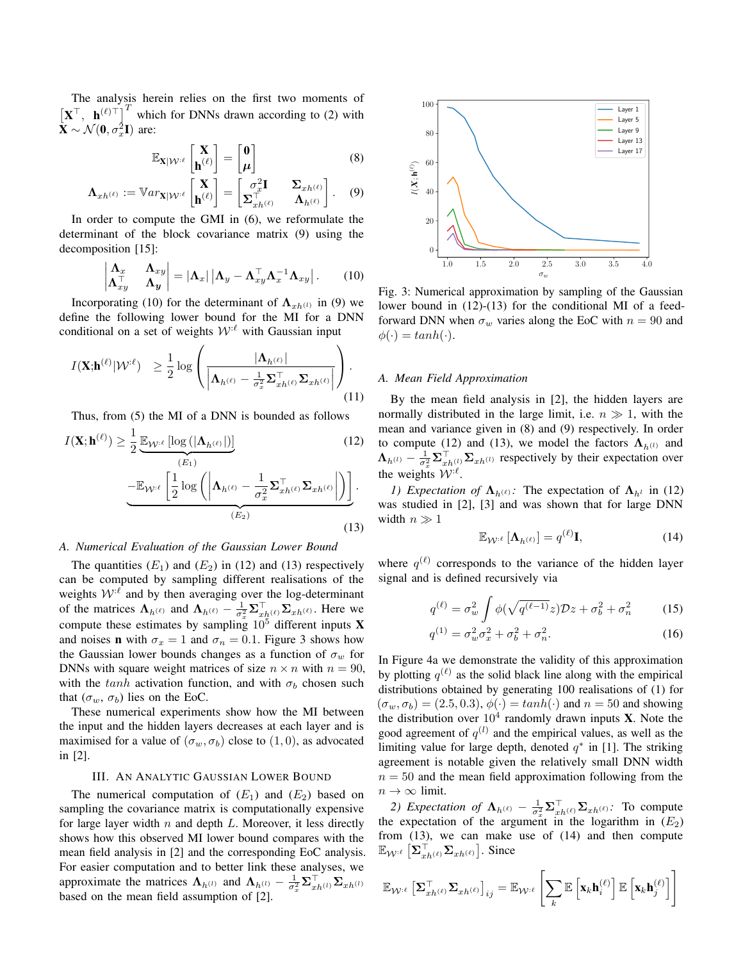The analysis herein relies on the first two moments of  $\begin{bmatrix} \mathbf{X}^{\top}, & \mathbf{h}^{(\ell)\top} \end{bmatrix}^T$  which for DNNs drawn according to (2) with  $\tilde{\mathbf{X}} \sim \mathcal{N}(\mathbf{0}, \sigma_x^2 \mathbf{I})$  are:

$$
\mathbb{E}_{\mathbf{X}|\mathcal{W}^{:\ell}}\left[\begin{matrix}\mathbf{X}\\\mathbf{h}^{(\ell)}\end{matrix}\right]=\begin{bmatrix}\mathbf{0}\\\boldsymbol{\mu}\end{bmatrix}
$$
 (8)

$$
\mathbf{\Lambda}_{xh^{(\ell)}} := \mathbb{V}ar_{\mathbf{X}|\mathcal{W}^{\cdot\ell}}\begin{bmatrix} \mathbf{X} \\ \mathbf{h}^{(\ell)} \end{bmatrix} = \begin{bmatrix} \sigma_x^2 \mathbf{I} & \Sigma_{xh^{(\ell)}} \\ \Sigma_{xh^{(\ell)}}^{\top} & \Lambda_{h^{(\ell)}} \end{bmatrix}.
$$
 (9)

In order to compute the GMI in (6), we reformulate the determinant of the block covariance matrix (9) using the decomposition [15]:

$$
\begin{vmatrix} \mathbf{\Lambda}_x & \mathbf{\Lambda}_{xy} \\ \mathbf{\Lambda}_{xy}^\top & \mathbf{\Lambda}_y \end{vmatrix} = |\mathbf{\Lambda}_x| \left| \mathbf{\Lambda}_y - \mathbf{\Lambda}_{xy}^\top \mathbf{\Lambda}_x^{-1} \mathbf{\Lambda}_{xy} \right|.
$$
 (10)

Incorporating (10) for the determinant of  $\Lambda_{xh^{(l)}}$  in (9) we define the following lower bound for the MI for a DNN conditional on a set of weights  $W<sup>l</sup>$  with Gaussian input

$$
I(\mathbf{X}; \mathbf{h}^{(\ell)} | \mathcal{W}^{:\ell}) \geq \frac{1}{2} \log \left( \frac{|\mathbf{\Lambda}_{h^{(\ell)}}|}{\left| \mathbf{\Lambda}_{h^{(\ell)}} - \frac{1}{\sigma_x^2} \mathbf{\Sigma}_{xh^{(\ell)}}^{\top} \mathbf{\Sigma}_{xh^{(\ell)}} \right|} \right). \tag{11}
$$

Thus, from (5) the MI of a DNN is bounded as follows

$$
I(\mathbf{X}; \mathbf{h}^{(\ell)}) \ge \frac{1}{2} \underbrace{\mathbb{E}_{\mathcal{W}^{:\ell}} \left[ \log \left( |\mathbf{\Lambda}_{h^{(\ell)}}| \right) \right]}_{(E_1)} \underbrace{-\mathbb{E}_{\mathcal{W}^{:\ell}} \left[ \frac{1}{2} \log \left( \left| \mathbf{\Lambda}_{h^{(\ell)}} - \frac{1}{\sigma_x^2} \mathbf{\Sigma}_{xh^{(\ell)}}^{\top} \mathbf{\Sigma}_{xh^{(\ell)}} \right| \right) \right]}_{(E_2)}.
$$
\n(12)

#### *A. Numerical Evaluation of the Gaussian Lower Bound*

The quantities  $(E_1)$  and  $(E_2)$  in (12) and (13) respectively can be computed by sampling different realisations of the weights  $W^{\ell}$  and by then averaging over the log-determinant of the matrices  $\Lambda_{h^{(\ell)}}$  and  $\Lambda_{h^{(\ell)}} - \frac{1}{\sigma_x^2} \Sigma_{xh^{(\ell)}}^{\top} \Sigma_{xh^{(\ell)}}$ . Here we compute these estimates by sampling  $10^5$  different inputs **X** and noises **n** with  $\sigma_x = 1$  and  $\sigma_n = 0.1$ . Figure 3 shows how the Gaussian lower bounds changes as a function of  $\sigma_w$  for DNNs with square weight matrices of size  $n \times n$  with  $n = 90$ , with the tanh activation function, and with  $\sigma_b$  chosen such that  $(\sigma_w, \sigma_b)$  lies on the EoC.

These numerical experiments show how the MI between the input and the hidden layers decreases at each layer and is maximised for a value of  $(\sigma_w, \sigma_b)$  close to  $(1, 0)$ , as advocated in [2].

## III. AN ANALYTIC GAUSSIAN LOWER BOUND

The numerical computation of  $(E_1)$  and  $(E_2)$  based on sampling the covariance matrix is computationally expensive for large layer width  $n$  and depth  $L$ . Moreover, it less directly shows how this observed MI lower bound compares with the mean field analysis in [2] and the corresponding EoC analysis. For easier computation and to better link these analyses, we approximate the matrices  $\Lambda_{h^{(l)}}$  and  $\Lambda_{h^{(l)}} - \frac{1}{\sigma_x^2} \Sigma_{xh^{(l)}}^\top \Sigma_{xh^{(l)}}$ based on the mean field assumption of [2].



Fig. 3: Numerical approximation by sampling of the Gaussian lower bound in (12)-(13) for the conditional MI of a feedforward DNN when  $\sigma_w$  varies along the EoC with  $n = 90$  and  $\phi(\cdot) = \tanh(\cdot).$ 

## *A. Mean Field Approximation*

By the mean field analysis in [2], the hidden layers are normally distributed in the large limit, i.e.  $n \gg 1$ , with the mean and variance given in (8) and (9) respectively. In order to compute (12) and (13), we model the factors  $\Lambda_{h^{(l)}}$  and  $\Lambda_{h^{(l)}} - \frac{1}{\sigma_x^2} \Sigma_{xh^{(l)}}^{\top} \Sigma_{xh^{(l)}}$  respectively by their expectation over the weights  $W^{\ell}$ .

*1) Expectation of*  $\Lambda_{h^{(\ell)}}$ : The expectation of  $\Lambda_{h^{l}}$  in (12) was studied in [2], [3] and was shown that for large DNN width  $n \gg 1$ 

$$
\mathbb{E}_{\mathcal{W}^{:\ell}}\left[\mathbf{\Lambda}_{h^{(\ell)}}\right] = q^{(\ell)}\mathbf{I},\tag{14}
$$

where  $q^{(\ell)}$  corresponds to the variance of the hidden layer signal and is defined recursively via

$$
q^{(\ell)} = \sigma_w^2 \int \phi(\sqrt{q^{(\ell-1)}}z) \mathcal{D}z + \sigma_b^2 + \sigma_n^2 \tag{15}
$$

$$
q^{(1)} = \sigma_w^2 \sigma_x^2 + \sigma_b^2 + \sigma_n^2. \tag{16}
$$

In Figure 4a we demonstrate the validity of this approximation by plotting  $q^{(\ell)}$  as the solid black line along with the empirical distributions obtained by generating 100 realisations of (1) for  $(\sigma_w, \sigma_b) = (2.5, 0.3), \phi(\cdot) = \tanh(\cdot)$  and  $n = 50$  and showing the distribution over  $10^4$  randomly drawn inputs **X**. Note the good agreement of  $q^{(l)}$  and the empirical values, as well as the limiting value for large depth, denoted  $q^*$  in [1]. The striking agreement is notable given the relatively small DNN width  $n = 50$  and the mean field approximation following from the  $n \to \infty$  limit.

*2) Expectation of*  $\Lambda_{h^{(\ell)}} - \frac{1}{\sigma_x^2} \Sigma_{xh^{(\ell)}}^{\top} \Sigma_{xh^{(\ell)}}$ : To compute the expectation of the argument in the logarithm in  $(E_2)$ from (13), we can make use of (14) and then compute  $\mathbb{E}_{\mathcal{W}^{:\ell}}\left[\mathbf{\Sigma}_{xh^{(\ell)}}^\top\mathbf{\Sigma}_{xh^{(\ell)}}\right]$ . Since

$$
\mathbb{E}_{\mathcal{W}^{:\ell}}\left[\boldsymbol{\Sigma}_{xh^{(\ell)}}^{\top}\boldsymbol{\Sigma}_{xh^{(\ell)}}\right]_{ij} = \mathbb{E}_{\mathcal{W}^{:\ell}}\left[\sum_{k} \mathbb{E}\left[\mathbf{x}_{k}\mathbf{h}_{i}^{(\ell)}\right] \mathbb{E}\left[\mathbf{x}_{k}\mathbf{h}_{j}^{(\ell)}\right]\right]
$$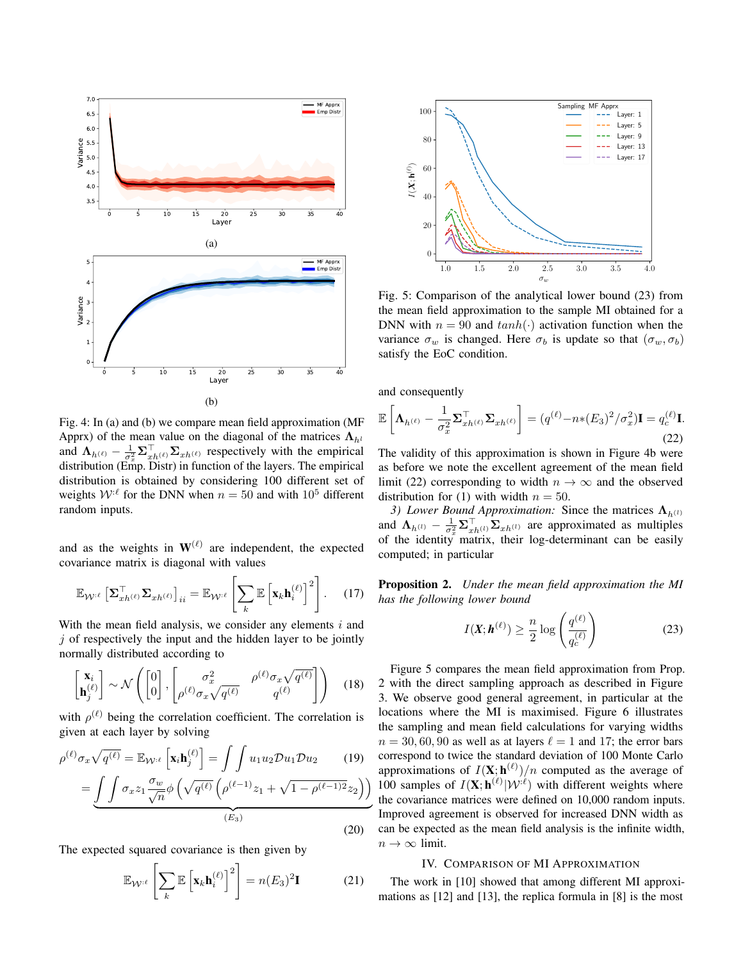

Fig. 4: In (a) and (b) we compare mean field approximation (MF Apprx) of the mean value on the diagonal of the matrices  $\Lambda_{h^l}$ and  $\Lambda_{h^{(\ell)}} - \frac{1}{\sigma_x^2} \Sigma_{xh^{(\ell)}}^{\top} \Sigma_{xh^{(\ell)}}$  respectively with the empirical distribution (Emp. Distr) in function of the layers. The empirical distribution is obtained by considering 100 different set of weights  $W^{\ell}$  for the DNN when  $n = 50$  and with  $10^5$  different random inputs.

and as the weights in  $W^{(\ell)}$  are independent, the expected covariance matrix is diagonal with values

$$
\mathbb{E}_{\mathcal{W}^{:\ell}} \left[ \mathbf{\Sigma}_{xh^{(\ell)}}^{\top} \mathbf{\Sigma}_{xh^{(\ell)}} \right]_{ii} = \mathbb{E}_{\mathcal{W}^{:\ell}} \left[ \sum_{k} \mathbb{E} \left[ \mathbf{x}_{k} \mathbf{h}_{i}^{(\ell)} \right]^{2} \right]. \tag{17}
$$

With the mean field analysis, we consider any elements  $i$  and  $j$  of respectively the input and the hidden layer to be jointly normally distributed according to

$$
\begin{bmatrix} \mathbf{x}_i \\ \mathbf{h}_j^{(\ell)} \end{bmatrix} \sim \mathcal{N} \left( \begin{bmatrix} 0 \\ 0 \end{bmatrix}, \begin{bmatrix} \sigma_x^2 & \rho^{(\ell)} \sigma_x \sqrt{q^{(\ell)}} \\ \rho^{(\ell)} \sigma_x \sqrt{q^{(\ell)}} & q^{(\ell)} \end{bmatrix} \right) \quad (18)
$$

with  $\rho^{(\ell)}$  being the correlation coefficient. The correlation is given at each layer by solving

$$
\rho^{(\ell)}\sigma_x\sqrt{q^{(\ell)}} = \mathbb{E}_{\mathcal{W}^{:\ell}}\left[\mathbf{x}_i\mathbf{h}_j^{(\ell)}\right] = \int\int u_1u_2 \mathcal{D}u_1 \mathcal{D}u_2 \qquad (19)
$$

$$
= \underbrace{\int\int \sigma_x z_1 \frac{\sigma_w}{\sqrt{n}} \phi\left(\sqrt{q^{(\ell)}} \left(\rho^{(\ell-1)} z_1 + \sqrt{1 - \rho^{(\ell-1)2}} z_2\right)\right)}_{(E_3)}
$$

The expected squared covariance is then given by

$$
\mathbb{E}_{\mathcal{W}^{\cdot\ell}}\left[\sum_{k} \mathbb{E}\left[\mathbf{x}_{k}\mathbf{h}_{i}^{(\ell)}\right]^{2}\right] = n(E_{3})^{2}\mathbf{I}
$$
 (21)

(20)



Fig. 5: Comparison of the analytical lower bound (23) from the mean field approximation to the sample MI obtained for a DNN with  $n = 90$  and  $tanh(\cdot)$  activation function when the variance  $\sigma_w$  is changed. Here  $\sigma_b$  is update so that  $(\sigma_w, \sigma_b)$ satisfy the EoC condition.

and consequently

$$
\mathbb{E}\left[\mathbf{\Lambda}_{h^{(\ell)}} - \frac{1}{\sigma_x^2} \mathbf{\Sigma}_{xh^{(\ell)}}^{\top} \mathbf{\Sigma}_{xh^{(\ell)}}\right] = (q^{(\ell)} - n*(E_3)^2 / \sigma_x^2)\mathbf{I} = q_c^{(\ell)}\mathbf{I}.
$$
\n(22)

The validity of this approximation is shown in Figure 4b were as before we note the excellent agreement of the mean field limit (22) corresponding to width  $n \to \infty$  and the observed distribution for (1) with width  $n = 50$ .

*3) Lower Bound Approximation:* Since the matrices  $\Lambda_{h^{(1)}}$ and  $\Lambda_{h^{(l)}} - \frac{1}{\sigma_x^2} \Sigma_{xh^{(l)}}^{\top} \Sigma_{xh^{(l)}}$  are approximated as multiples of the identity matrix, their log-determinant can be easily computed; in particular

Proposition 2. *Under the mean field approximation the MI has the following lower bound*

$$
I(\mathbf{X}; \mathbf{h}^{(\ell)}) \ge \frac{n}{2} \log \left( \frac{q^{(\ell)}}{q_c^{(\ell)}} \right) \tag{23}
$$

Figure 5 compares the mean field approximation from Prop. 2 with the direct sampling approach as described in Figure 3. We observe good general agreement, in particular at the locations where the MI is maximised. Figure 6 illustrates the sampling and mean field calculations for varying widths  $n = 30, 60, 90$  as well as at layers  $\ell = 1$  and 17; the error bars correspond to twice the standard deviation of 100 Monte Carlo approximations of  $I(X; h^{(\ell)})/n$  computed as the average of 100 samples of  $I(\mathbf{X}; \mathbf{h}^{(\ell)} | \mathcal{W}^{(\ell)})$  with different weights where the covariance matrices were defined on 10,000 random inputs. Improved agreement is observed for increased DNN width as can be expected as the mean field analysis is the infinite width,  $n \to \infty$  limit.

## IV. COMPARISON OF MI APPROXIMATION

The work in [10] showed that among different MI approximations as [12] and [13], the replica formula in [8] is the most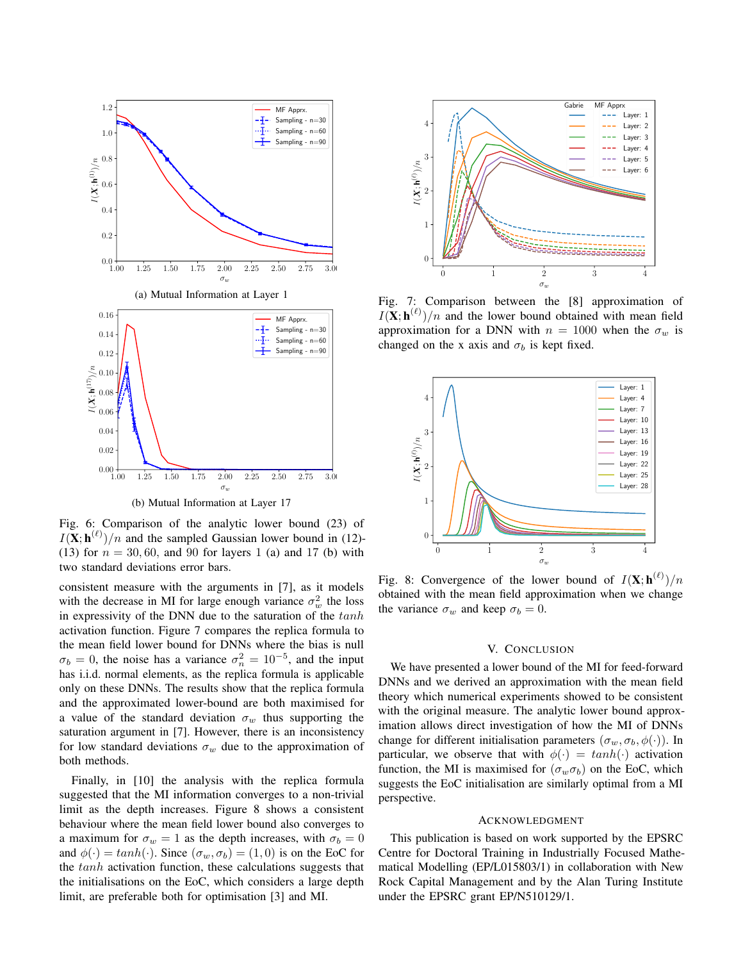

Fig. 6: Comparison of the analytic lower bound (23) of  $I(X; h^{(\ell)})/n$  and the sampled Gaussian lower bound in (12)-(13) for  $n = 30, 60$ , and 90 for layers 1 (a) and 17 (b) with two standard deviations error bars.

consistent measure with the arguments in [7], as it models with the decrease in MI for large enough variance  $\sigma_w^2$  the loss in expressivity of the DNN due to the saturation of the  $tanh$ activation function. Figure 7 compares the replica formula to the mean field lower bound for DNNs where the bias is null  $\sigma_b = 0$ , the noise has a variance  $\sigma_n^2 = 10^{-5}$ , and the input has i.i.d. normal elements, as the replica formula is applicable only on these DNNs. The results show that the replica formula and the approximated lower-bound are both maximised for a value of the standard deviation  $\sigma_w$  thus supporting the saturation argument in [7]. However, there is an inconsistency for low standard deviations  $\sigma_w$  due to the approximation of both methods.

Finally, in [10] the analysis with the replica formula suggested that the MI information converges to a non-trivial limit as the depth increases. Figure 8 shows a consistent behaviour where the mean field lower bound also converges to a maximum for  $\sigma_w = 1$  as the depth increases, with  $\sigma_b = 0$ and  $\phi(\cdot) = \tanh(\cdot)$ . Since  $(\sigma_w, \sigma_b) = (1, 0)$  is on the EoC for the tanh activation function, these calculations suggests that the initialisations on the EoC, which considers a large depth limit, are preferable both for optimisation [3] and MI.



Fig. 7: Comparison between the [8] approximation of  $I(\mathbf{X}; \mathbf{h}^{(\ell)})/n$  and the lower bound obtained with mean field approximation for a DNN with  $n = 1000$  when the  $\sigma_w$  is changed on the x axis and  $\sigma_b$  is kept fixed.



Fig. 8: Convergence of the lower bound of  $I(\mathbf{X}; \mathbf{h}^{(\ell)})/n$ obtained with the mean field approximation when we change the variance  $\sigma_w$  and keep  $\sigma_b = 0$ .

### V. CONCLUSION

We have presented a lower bound of the MI for feed-forward DNNs and we derived an approximation with the mean field theory which numerical experiments showed to be consistent with the original measure. The analytic lower bound approximation allows direct investigation of how the MI of DNNs change for different initialisation parameters  $(\sigma_w, \sigma_b, \phi(\cdot))$ . In particular, we observe that with  $\phi(\cdot) = \tanh(\cdot)$  activation function, the MI is maximised for  $(\sigma_w \sigma_b)$  on the EoC, which suggests the EoC initialisation are similarly optimal from a MI perspective.

## ACKNOWLEDGMENT

This publication is based on work supported by the EPSRC Centre for Doctoral Training in Industrially Focused Mathematical Modelling (EP/L015803/1) in collaboration with New Rock Capital Management and by the Alan Turing Institute under the EPSRC grant EP/N510129/1.